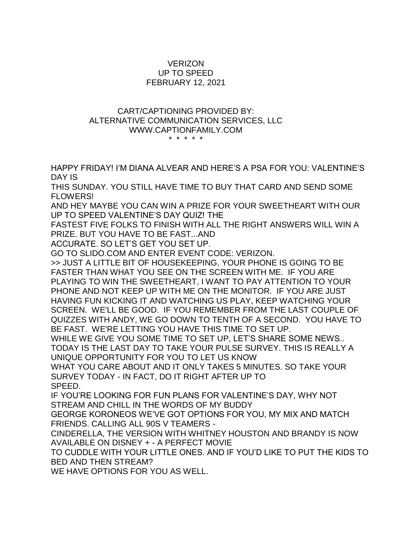## **VERIZON** UP TO SPEED FEBRUARY 12, 2021

## CART/CAPTIONING PROVIDED BY: ALTERNATIVE COMMUNICATION SERVICES, LLC WWW.CAPTIONFAMILY.COM \* \* \* \* \*

HAPPY FRIDAY! I'M DIANA ALVEAR AND HERE'S A PSA FOR YOU: VALENTINE'S DAY IS

THIS SUNDAY. YOU STILL HAVE TIME TO BUY THAT CARD AND SEND SOME FLOWERS!

AND HEY MAYBE YOU CAN WIN A PRIZE FOR YOUR SWEETHEART WITH OUR UP TO SPEED VALENTINE'S DAY QUIZ! THE

FASTEST FIVE FOLKS TO FINISH WITH ALL THE RIGHT ANSWERS WILL WIN A PRIZE. BUT YOU HAVE TO BE FAST...AND

ACCURATE. SO LET'S GET YOU SET UP.

GO TO SLIDO.COM AND ENTER EVENT CODE: VERIZON.

>> JUST A LITTLE BIT OF HOUSEKEEPING, YOUR PHONE IS GOING TO BE FASTER THAN WHAT YOU SEE ON THE SCREEN WITH ME. IF YOU ARE PLAYING TO WIN THE SWEETHEART, I WANT TO PAY ATTENTION TO YOUR PHONE AND NOT KEEP UP WITH ME ON THE MONITOR. IF YOU ARE JUST HAVING FUN KICKING IT AND WATCHING US PLAY, KEEP WATCHING YOUR SCREEN. WE'LL BE GOOD. IF YOU REMEMBER FROM THE LAST COUPLE OF QUIZZES WITH ANDY, WE GO DOWN TO TENTH OF A SECOND. YOU HAVE TO BE FAST. WE'RE LETTING YOU HAVE THIS TIME TO SET UP.

WHILE WE GIVE YOU SOME TIME TO SET UP, LET'S SHARE SOME NEWS.. TODAY IS THE LAST DAY TO TAKE YOUR PULSE SURVEY. THIS IS REALLY A UNIQUE OPPORTUNITY FOR YOU TO LET US KNOW

WHAT YOU CARE ABOUT AND IT ONLY TAKES 5 MINUTES. SO TAKE YOUR SURVEY TODAY - IN FACT, DO IT RIGHT AFTER UP TO SPEED.

IF YOU'RE LOOKING FOR FUN PLANS FOR VALENTINE'S DAY, WHY NOT STREAM AND CHILL IN THE WORDS OF MY BUDDY

GEORGE KORONEOS WE'VE GOT OPTIONS FOR YOU, MY MIX AND MATCH FRIENDS. CALLING ALL 90S V TEAMERS -

CINDERELLA, THE VERSION WITH WHITNEY HOUSTON AND BRANDY IS NOW AVAILABLE ON DISNEY + - A PERFECT MOVIE

TO CUDDLE WITH YOUR LITTLE ONES. AND IF YOU'D LIKE TO PUT THE KIDS TO BED AND THEN STREAM?

WE HAVE OPTIONS FOR YOU AS WELL.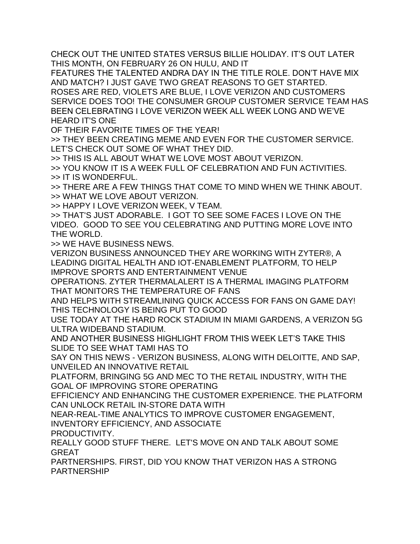CHECK OUT THE UNITED STATES VERSUS BILLIE HOLIDAY. IT'S OUT LATER THIS MONTH, ON FEBRUARY 26 ON HULU, AND IT

FEATURES THE TALENTED ANDRA DAY IN THE TITLE ROLE. DON'T HAVE MIX AND MATCH? I JUST GAVE TWO GREAT REASONS TO GET STARTED.

ROSES ARE RED, VIOLETS ARE BLUE, I LOVE VERIZON AND CUSTOMERS SERVICE DOES TOO! THE CONSUMER GROUP CUSTOMER SERVICE TEAM HAS BEEN CELEBRATING I LOVE VERIZON WEEK ALL WEEK LONG AND WE'VE HEARD IT'S ONE

OF THEIR FAVORITE TIMES OF THE YEAR!

>> THEY BEEN CREATING MEME AND EVEN FOR THE CUSTOMER SERVICE. LET'S CHECK OUT SOME OF WHAT THEY DID.

>> THIS IS ALL ABOUT WHAT WE LOVE MOST ABOUT VERIZON.

>> YOU KNOW IT IS A WEEK FULL OF CELEBRATION AND FUN ACTIVITIES. >> IT IS WONDERFUL.

>> THERE ARE A FEW THINGS THAT COME TO MIND WHEN WE THINK ABOUT. >> WHAT WE LOVE ABOUT VERIZON.

>> HAPPY I LOVE VERIZON WEEK, V TEAM.

>> THAT'S JUST ADORABLE. I GOT TO SEE SOME FACES I LOVE ON THE VIDEO. GOOD TO SEE YOU CELEBRATING AND PUTTING MORE LOVE INTO THE WORLD.

>> WE HAVE BUSINESS NEWS.

VERIZON BUSINESS ANNOUNCED THEY ARE WORKING WITH ZYTER®, A LEADING DIGITAL HEALTH AND IOT-ENABLEMENT PLATFORM, TO HELP IMPROVE SPORTS AND ENTERTAINMENT VENUE

OPERATIONS. ZYTER THERMALALERT IS A THERMAL IMAGING PLATFORM THAT MONITORS THE TEMPERATURE OF FANS

AND HELPS WITH STREAMLINING QUICK ACCESS FOR FANS ON GAME DAY! THIS TECHNOLOGY IS BEING PUT TO GOOD

USE TODAY AT THE HARD ROCK STADIUM IN MIAMI GARDENS, A VERIZON 5G ULTRA WIDEBAND STADIUM.

AND ANOTHER BUSINESS HIGHLIGHT FROM THIS WEEK LET'S TAKE THIS SLIDE TO SEE WHAT TAMI HAS TO

SAY ON THIS NEWS - VERIZON BUSINESS, ALONG WITH DELOITTE, AND SAP, UNVEILED AN INNOVATIVE RETAIL

PLATFORM, BRINGING 5G AND MEC TO THE RETAIL INDUSTRY, WITH THE GOAL OF IMPROVING STORE OPERATING

EFFICIENCY AND ENHANCING THE CUSTOMER EXPERIENCE. THE PLATFORM CAN UNLOCK RETAIL IN-STORE DATA WITH

NEAR-REAL-TIME ANALYTICS TO IMPROVE CUSTOMER ENGAGEMENT, INVENTORY EFFICIENCY, AND ASSOCIATE

PRODUCTIVITY.

REALLY GOOD STUFF THERE. LET'S MOVE ON AND TALK ABOUT SOME GREAT

PARTNERSHIPS. FIRST, DID YOU KNOW THAT VERIZON HAS A STRONG PARTNERSHIP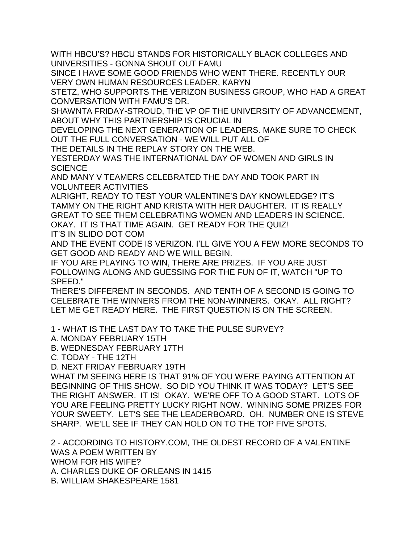WITH HBCU'S? HBCU STANDS FOR HISTORICALLY BLACK COLLEGES AND UNIVERSITIES - GONNA SHOUT OUT FAMU

SINCE I HAVE SOME GOOD FRIENDS WHO WENT THERE. RECENTLY OUR VERY OWN HUMAN RESOURCES LEADER, KARYN

STETZ, WHO SUPPORTS THE VERIZON BUSINESS GROUP, WHO HAD A GREAT CONVERSATION WITH FAMU'S DR.

SHAWNTA FRIDAY-STROUD, THE VP OF THE UNIVERSITY OF ADVANCEMENT, ABOUT WHY THIS PARTNERSHIP IS CRUCIAL IN

DEVELOPING THE NEXT GENERATION OF LEADERS. MAKE SURE TO CHECK OUT THE FULL CONVERSATION - WE WILL PUT ALL OF

THE DETAILS IN THE REPLAY STORY ON THE WEB.

YESTERDAY WAS THE INTERNATIONAL DAY OF WOMEN AND GIRLS IN **SCIENCE** 

AND MANY V TEAMERS CELEBRATED THE DAY AND TOOK PART IN VOLUNTEER ACTIVITIES

ALRIGHT, READY TO TEST YOUR VALENTINE'S DAY KNOWLEDGE? IT'S TAMMY ON THE RIGHT AND KRISTA WITH HER DAUGHTER. IT IS REALLY GREAT TO SEE THEM CELEBRATING WOMEN AND LEADERS IN SCIENCE. OKAY. IT IS THAT TIME AGAIN. GET READY FOR THE QUIZ!

IT'S IN SLIDO DOT COM

AND THE EVENT CODE IS VERIZON. I'LL GIVE YOU A FEW MORE SECONDS TO GET GOOD AND READY AND WE WILL BEGIN.

IF YOU ARE PLAYING TO WIN, THERE ARE PRIZES. IF YOU ARE JUST FOLLOWING ALONG AND GUESSING FOR THE FUN OF IT, WATCH "UP TO SPEED."

THERE'S DIFFERENT IN SECONDS. AND TENTH OF A SECOND IS GOING TO CELEBRATE THE WINNERS FROM THE NON-WINNERS. OKAY. ALL RIGHT? LET ME GET READY HERE. THE FIRST QUESTION IS ON THE SCREEN.

1 - WHAT IS THE LAST DAY TO TAKE THE PULSE SURVEY?

A. MONDAY FEBRUARY 15TH

B. WEDNESDAY FEBRUARY 17TH

C. TODAY - THE 12TH

D. NEXT FRIDAY FEBRUARY 19TH

WHAT I'M SEEING HERE IS THAT 91% OF YOU WERE PAYING ATTENTION AT BEGINNING OF THIS SHOW. SO DID YOU THINK IT WAS TODAY? LET'S SEE THE RIGHT ANSWER. IT IS! OKAY. WE'RE OFF TO A GOOD START. LOTS OF YOU ARE FEELING PRETTY LUCKY RIGHT NOW. WINNING SOME PRIZES FOR YOUR SWEETY. LET'S SEE THE LEADERBOARD. OH. NUMBER ONE IS STEVE SHARP. WE'LL SEE IF THEY CAN HOLD ON TO THE TOP FIVE SPOTS.

2 - ACCORDING TO HISTORY.COM, THE OLDEST RECORD OF A VALENTINE WAS A POEM WRITTEN BY WHOM FOR HIS WIFE? A. CHARLES DUKE OF ORLEANS IN 1415 B. WILLIAM SHAKESPEARE 1581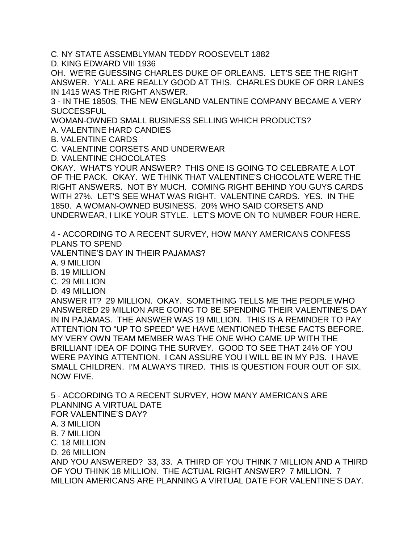C. NY STATE ASSEMBLYMAN TEDDY ROOSEVELT 1882

D. KING EDWARD VIII 1936

OH. WE'RE GUESSING CHARLES DUKE OF ORLEANS. LET'S SEE THE RIGHT ANSWER. Y'ALL ARE REALLY GOOD AT THIS. CHARLES DUKE OF ORR LANES IN 1415 WAS THE RIGHT ANSWER.

3 - IN THE 1850S, THE NEW ENGLAND VALENTINE COMPANY BECAME A VERY **SUCCESSFUL** 

WOMAN-OWNED SMALL BUSINESS SELLING WHICH PRODUCTS?

A. VALENTINE HARD CANDIES

B. VALENTINE CARDS

C. VALENTINE CORSETS AND UNDERWEAR

D. VALENTINE CHOCOLATES

OKAY. WHAT'S YOUR ANSWER? THIS ONE IS GOING TO CELEBRATE A LOT OF THE PACK. OKAY. WE THINK THAT VALENTINE'S CHOCOLATE WERE THE RIGHT ANSWERS. NOT BY MUCH. COMING RIGHT BEHIND YOU GUYS CARDS WITH 27%. LET'S SEE WHAT WAS RIGHT. VALENTINE CARDS. YES. IN THE 1850. A WOMAN-OWNED BUSINESS. 20% WHO SAID CORSETS AND UNDERWEAR, I LIKE YOUR STYLE. LET'S MOVE ON TO NUMBER FOUR HERE.

4 - ACCORDING TO A RECENT SURVEY, HOW MANY AMERICANS CONFESS PLANS TO SPEND

VALENTINE'S DAY IN THEIR PAJAMAS?

A. 9 MILLION

B. 19 MILLION

C. 29 MILLION

D. 49 MILLION

ANSWER IT? 29 MILLION. OKAY. SOMETHING TELLS ME THE PEOPLE WHO ANSWERED 29 MILLION ARE GOING TO BE SPENDING THEIR VALENTINE'S DAY IN IN PAJAMAS. THE ANSWER WAS 19 MILLION. THIS IS A REMINDER TO PAY ATTENTION TO "UP TO SPEED" WE HAVE MENTIONED THESE FACTS BEFORE. MY VERY OWN TEAM MEMBER WAS THE ONE WHO CAME UP WITH THE BRILLIANT IDEA OF DOING THE SURVEY. GOOD TO SEE THAT 24% OF YOU WERE PAYING ATTENTION. I CAN ASSURE YOU I WILL BE IN MY PJS. I HAVE SMALL CHILDREN. I'M ALWAYS TIRED. THIS IS QUESTION FOUR OUT OF SIX. NOW FIVE.

5 - ACCORDING TO A RECENT SURVEY, HOW MANY AMERICANS ARE PLANNING A VIRTUAL DATE FOR VALENTINE'S DAY?

A. 3 MILLION

B. 7 MILLION

C. 18 MILLION

D. 26 MILLION

AND YOU ANSWERED? 33, 33. A THIRD OF YOU THINK 7 MILLION AND A THIRD OF YOU THINK 18 MILLION. THE ACTUAL RIGHT ANSWER? 7 MILLION. 7 MILLION AMERICANS ARE PLANNING A VIRTUAL DATE FOR VALENTINE'S DAY.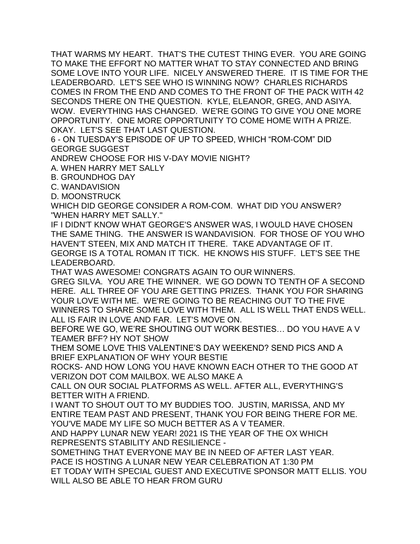THAT WARMS MY HEART. THAT'S THE CUTEST THING EVER. YOU ARE GOING TO MAKE THE EFFORT NO MATTER WHAT TO STAY CONNECTED AND BRING SOME LOVE INTO YOUR LIFE. NICELY ANSWERED THERE. IT IS TIME FOR THE LEADERBOARD. LET'S SEE WHO IS WINNING NOW? CHARLES RICHARDS COMES IN FROM THE END AND COMES TO THE FRONT OF THE PACK WITH 42 SECONDS THERE ON THE QUESTION. KYLE, ELEANOR, GREG, AND ASIYA. WOW. EVERYTHING HAS CHANGED. WE'RE GOING TO GIVE YOU ONE MORE OPPORTUNITY. ONE MORE OPPORTUNITY TO COME HOME WITH A PRIZE. OKAY. LET'S SEE THAT LAST QUESTION.

6 - ON TUESDAY'S EPISODE OF UP TO SPEED, WHICH "ROM-COM" DID GEORGE SUGGEST

ANDREW CHOOSE FOR HIS V-DAY MOVIE NIGHT?

A. WHEN HARRY MET SALLY

B. GROUNDHOG DAY

C. WANDAVISION

D. MOONSTRUCK

WHICH DID GEORGE CONSIDER A ROM-COM. WHAT DID YOU ANSWER? "WHEN HARRY MET SALLY."

IF I DIDN'T KNOW WHAT GEORGE'S ANSWER WAS, I WOULD HAVE CHOSEN THE SAME THING. THE ANSWER IS WANDAVISION. FOR THOSE OF YOU WHO HAVEN'T STEEN, MIX AND MATCH IT THERE. TAKE ADVANTAGE OF IT. GEORGE IS A TOTAL ROMAN IT TICK. HE KNOWS HIS STUFF. LET'S SEE THE LEADERBOARD.

THAT WAS AWESOME! CONGRATS AGAIN TO OUR WINNERS.

GREG SILVA. YOU ARE THE WINNER. WE GO DOWN TO TENTH OF A SECOND HERE. ALL THREE OF YOU ARE GETTING PRIZES. THANK YOU FOR SHARING YOUR LOVE WITH ME. WE'RE GOING TO BE REACHING OUT TO THE FIVE WINNERS TO SHARE SOME LOVE WITH THEM. ALL IS WELL THAT ENDS WELL. ALL IS FAIR IN LOVE AND FAR. LET'S MOVE ON.

BEFORE WE GO, WE'RE SHOUTING OUT WORK BESTIES… DO YOU HAVE A V TEAMER BFF? HY NOT SHOW

THEM SOME LOVE THIS VALENTINE'S DAY WEEKEND? SEND PICS AND A BRIEF EXPLANATION OF WHY YOUR BESTIE

ROCKS- AND HOW LONG YOU HAVE KNOWN EACH OTHER TO THE GOOD AT VERIZON DOT COM MAILBOX. WE ALSO MAKE A

CALL ON OUR SOCIAL PLATFORMS AS WELL. AFTER ALL, EVERYTHING'S BETTER WITH A FRIEND.

I WANT TO SHOUT OUT TO MY BUDDIES TOO. JUSTIN, MARISSA, AND MY ENTIRE TEAM PAST AND PRESENT, THANK YOU FOR BEING THERE FOR ME. YOU'VE MADE MY LIFE SO MUCH BETTER AS A V TEAMER.

AND HAPPY LUNAR NEW YEAR! 2021 IS THE YEAR OF THE OX WHICH REPRESENTS STABILITY AND RESILIENCE -

SOMETHING THAT EVERYONE MAY BE IN NEED OF AFTER LAST YEAR. PACE IS HOSTING A LUNAR NEW YEAR CELEBRATION AT 1:30 PM

ET TODAY WITH SPECIAL GUEST AND EXECUTIVE SPONSOR MATT ELLIS. YOU WILL ALSO BE ABLE TO HEAR FROM GURU